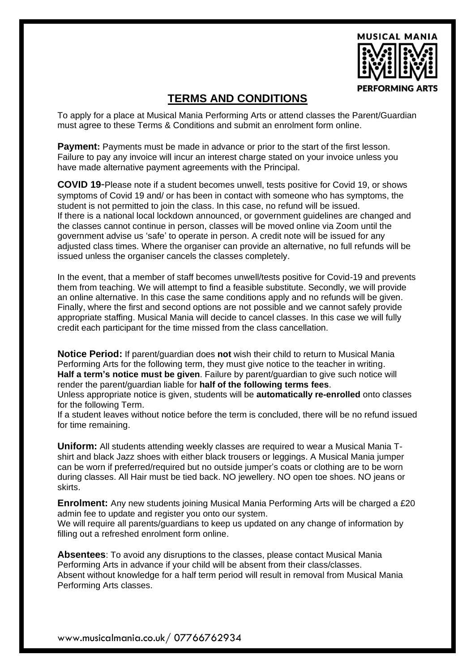

## **TERMS AND CONDITIONS**

To apply for a place at Musical Mania Performing Arts or attend classes the Parent/Guardian must agree to these Terms & Conditions and submit an enrolment form online.

**Payment:** Payments must be made in advance or prior to the start of the first lesson. Failure to pay any invoice will incur an interest charge stated on your invoice unless you have made alternative payment agreements with the Principal.

**COVID 19**-Please note if a student becomes unwell, tests positive for Covid 19, or shows symptoms of Covid 19 and/ or has been in contact with someone who has symptoms, the student is not permitted to join the class. In this case, no refund will be issued. If there is a national local lockdown announced, or government guidelines are changed and the classes cannot continue in person, classes will be moved online via Zoom until the government advise us 'safe' to operate in person. A credit note will be issued for any adjusted class times. Where the organiser can provide an alternative, no full refunds will be issued unless the organiser cancels the classes completely.

In the event, that a member of staff becomes unwell/tests positive for Covid-19 and prevents them from teaching. We will attempt to find a feasible substitute. Secondly, we will provide an online alternative. In this case the same conditions apply and no refunds will be given. Finally, where the first and second options are not possible and we cannot safely provide appropriate staffing. Musical Mania will decide to cancel classes. In this case we will fully credit each participant for the time missed from the class cancellation.

**Notice Period:** If parent/guardian does **not** wish their child to return to Musical Mania Performing Arts for the following term, they must give notice to the teacher in writing. **Half a term's notice must be given**. Failure by parent/guardian to give such notice will render the parent/guardian liable for **half of the following terms fees**.

Unless appropriate notice is given, students will be **automatically re-enrolled** onto classes for the following Term.

If a student leaves without notice before the term is concluded, there will be no refund issued for time remaining.

**Uniform:** All students attending weekly classes are required to wear a Musical Mania Tshirt and black Jazz shoes with either black trousers or leggings. A Musical Mania jumper can be worn if preferred/required but no outside jumper's coats or clothing are to be worn during classes. All Hair must be tied back. NO jewellery. NO open toe shoes. NO jeans or skirts.

**Enrolment:** Any new students joining Musical Mania Performing Arts will be charged a £20 admin fee to update and register you onto our system.

We will require all parents/guardians to keep us updated on any change of information by filling out a refreshed enrolment form online.

**Absentees**: To avoid any disruptions to the classes, please contact Musical Mania Performing Arts in advance if your child will be absent from their class/classes. Absent without knowledge for a half term period will result in removal from Musical Mania Performing Arts classes.